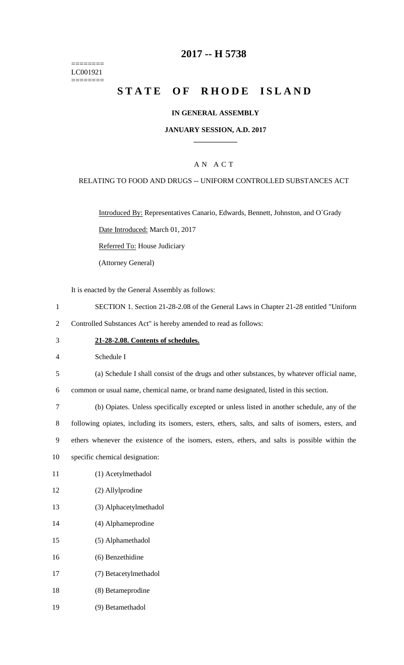======== LC001921 ========

### **2017 -- H 5738**

# **STATE OF RHODE ISLAND**

### **IN GENERAL ASSEMBLY**

#### **JANUARY SESSION, A.D. 2017 \_\_\_\_\_\_\_\_\_\_\_\_**

### A N A C T

#### RELATING TO FOOD AND DRUGS -- UNIFORM CONTROLLED SUBSTANCES ACT

Introduced By: Representatives Canario, Edwards, Bennett, Johnston, and O`Grady

Date Introduced: March 01, 2017

Referred To: House Judiciary

(Attorney General)

It is enacted by the General Assembly as follows:

- 1 SECTION 1. Section 21-28-2.08 of the General Laws in Chapter 21-28 entitled "Uniform
- 2 Controlled Substances Act" is hereby amended to read as follows:
- 3 **21-28-2.08. Contents of schedules.**

4 Schedule I

5 (a) Schedule I shall consist of the drugs and other substances, by whatever official name,

6 common or usual name, chemical name, or brand name designated, listed in this section.

 (b) Opiates. Unless specifically excepted or unless listed in another schedule, any of the following opiates, including its isomers, esters, ethers, salts, and salts of isomers, esters, and ethers whenever the existence of the isomers, esters, ethers, and salts is possible within the specific chemical designation:

- 11 (1) Acetylmethadol
- 12 (2) Allylprodine
- 13 (3) Alphacetylmethadol
- 14 (4) Alphameprodine
- 15 (5) Alphamethadol
- 16 (6) Benzethidine
- 17 (7) Betacetylmethadol
- 18 (8) Betameprodine
- 19 (9) Betamethadol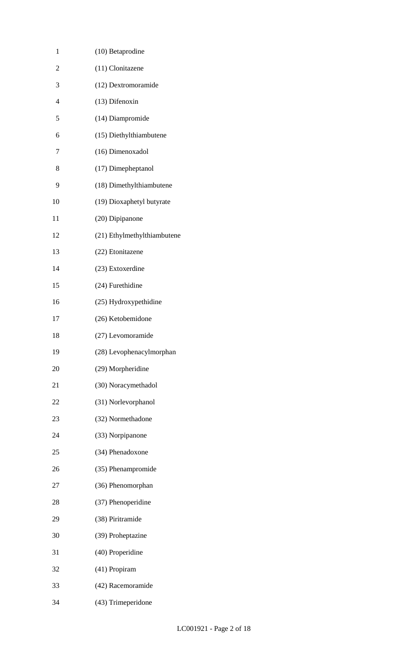| 1              | (10) Betaprodine            |
|----------------|-----------------------------|
| $\overline{2}$ | (11) Clonitazene            |
| 3              | (12) Dextromoramide         |
| $\overline{4}$ | (13) Difenoxin              |
| 5              | (14) Diampromide            |
| 6              | (15) Diethylthiambutene     |
| 7              | (16) Dimenoxadol            |
| 8              | (17) Dimepheptanol          |
| 9              | (18) Dimethylthiambutene    |
| 10             | (19) Dioxaphetyl butyrate   |
| 11             | (20) Dipipanone             |
| 12             | (21) Ethylmethylthiambutene |
| 13             | (22) Etonitazene            |
| 14             | (23) Extoxerdine            |
| 15             | (24) Furethidine            |
| 16             | (25) Hydroxypethidine       |
| 17             | (26) Ketobemidone           |
| 18             | (27) Levomoramide           |
| 19             | (28) Levophenacylmorphan    |
| 20             | (29) Morpheridine           |
| 21             | (30) Noracymethadol         |
| 22             | (31) Norlevorphanol         |
| 23             | (32) Normethadone           |
| 24             | (33) Norpipanone            |
| 25             | (34) Phenadoxone            |
| 26             | (35) Phenampromide          |
| 27             | (36) Phenomorphan           |
| 28             | (37) Phenoperidine          |
| 29             | (38) Piritramide            |
| 30             | (39) Proheptazine           |
| 31             | (40) Properidine            |
| 32             | (41) Propiram               |
| 33             | (42) Racemoramide           |
| 34             | (43) Trimeperidone          |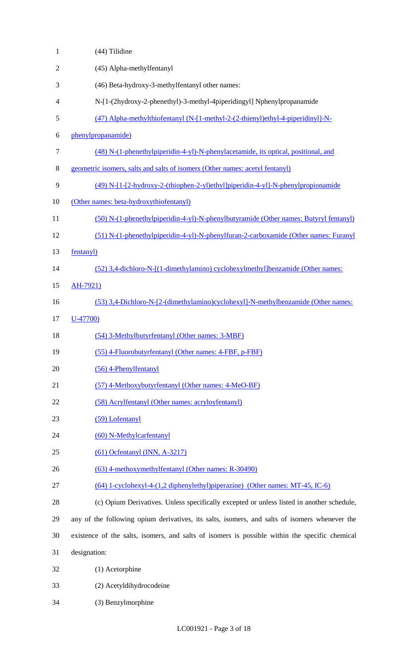| 1              | (44) Tilidine                                                                                  |
|----------------|------------------------------------------------------------------------------------------------|
| $\mathfrak{2}$ | (45) Alpha-methylfentanyl                                                                      |
| 3              | (46) Beta-hydroxy-3-methylfentanyl other names:                                                |
| 4              | N-[1-(2hydroxy-2-phenethyl)-3-methyl-4piperidingyl] Nphenylpropanamide                         |
| 5              | (47) Alpha-methylthiofentanyl (N-[1-methyl-2-(2-thienyl)ethyl-4-piperidinyl]-N-                |
| 6              | phenylpropanamide)                                                                             |
| $\tau$         | (48) N-(1-phenethylpiperidin-4-yl)-N-phenylacetamide, its optical, positional, and             |
| $8\,$          | geometric isomers, salts and salts of isomers (Other names: acetyl fentanyl)                   |
| 9              | (49) N-[1-[2-hydroxy-2-(thiophen-2-yl)ethyl]piperidin-4-yl]-N-phenylpropionamide               |
| 10             | (Other names: beta-hydroxythiofentanyl)                                                        |
| 11             | (50) N-(1-phenethylpiperidin-4-yl)-N-phenylbutyramide (Other names: Butyryl fentanyl)          |
| 12             | (51) N-(1-phenethylpiperidin-4-yl)-N-phenylfuran-2-carboxamide (Other names: Furanyl           |
| 13             | fentanyl)                                                                                      |
| 14             | (52) 3,4-dichloro-N-[(1-dimethylamino) cyclohexylmethyl]benzamide (Other names:                |
| 15             | AH-7921)                                                                                       |
| 16             | (53) 3,4-Dichloro-N-[2-(dimethylamino)cyclohexyl]-N-methylbenzamide (Other names:              |
| 17             | $U-47700$                                                                                      |
| 18             | (54) 3-Methylbutyrfentanyl (Other names: 3-MBF)                                                |
| 19             | (55) 4-Fluorobutyrfentanyl (Other names: 4-FBF, p-FBF)                                         |
| 20             | $(56)$ 4-Phenylfentanyl                                                                        |
| 21             | (57) 4-Methoxybutyrfentanyl (Other names: 4-MeO-BF)                                            |
| 22             | (58) Acrylfentanyl (Other names: acryloyfentanyl)                                              |
| 23             | (59) Lofentanyl                                                                                |
| 24             | (60) N-Methylcarfentanyl                                                                       |
| 25             | $(61)$ Ocfentanyl (INN, A-3217)                                                                |
| 26             | (63) 4-methoxymethylfentanyl (Other names: R-30490)                                            |
| 27             | (64) 1-cyclohexyl-4-(1,2 diphenylethyl)piperazine) (Other names: MT-45, IC-6)                  |
| 28             | (c) Opium Derivatives. Unless specifically excepted or unless listed in another schedule,      |
| 29             | any of the following opium derivatives, its salts, isomers, and salts of isomers whenever the  |
| 30             | existence of the salts, isomers, and salts of isomers is possible within the specific chemical |
| 31             | designation:                                                                                   |
| 32             | (1) Acetorphine                                                                                |
| 33             | (2) Acetyldihydrocodeine                                                                       |
| 34             | (3) Benzylmorphine                                                                             |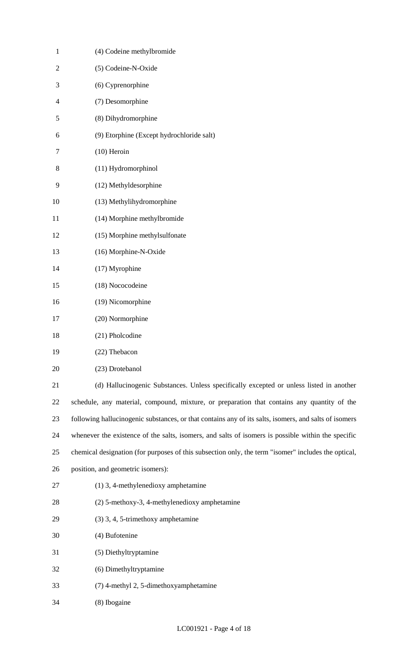| $\mathbf{1}$   | (4) Codeine methylbromide                                                                             |
|----------------|-------------------------------------------------------------------------------------------------------|
| $\overline{2}$ | (5) Codeine-N-Oxide                                                                                   |
| 3              | (6) Cyprenorphine                                                                                     |
| 4              | (7) Desomorphine                                                                                      |
| 5              | (8) Dihydromorphine                                                                                   |
| 6              | (9) Etorphine (Except hydrochloride salt)                                                             |
| 7              | $(10)$ Heroin                                                                                         |
| 8              | (11) Hydromorphinol                                                                                   |
| 9              | (12) Methyldesorphine                                                                                 |
| 10             | (13) Methylihydromorphine                                                                             |
| 11             | (14) Morphine methylbromide                                                                           |
| 12             | (15) Morphine methylsulfonate                                                                         |
| 13             | (16) Morphine-N-Oxide                                                                                 |
| 14             | (17) Myrophine                                                                                        |
| 15             | (18) Nococodeine                                                                                      |
| 16             | (19) Nicomorphine                                                                                     |
| 17             | (20) Normorphine                                                                                      |
| 18             | (21) Pholcodine                                                                                       |
| 19             | (22) Thebacon                                                                                         |
| 20             | (23) Drotebanol                                                                                       |
| 21             | (d) Hallucinogenic Substances. Unless specifically excepted or unless listed in another               |
| 22             | schedule, any material, compound, mixture, or preparation that contains any quantity of the           |
| 23             | following hallucinogenic substances, or that contains any of its salts, isomers, and salts of isomers |
| 24             | whenever the existence of the salts, isomers, and salts of isomers is possible within the specific    |
| 25             | chemical designation (for purposes of this subsection only, the term "isomer" includes the optical,   |
| 26             | position, and geometric isomers):                                                                     |
| 27             | (1) 3, 4-methylenedioxy amphetamine                                                                   |
| 28             | (2) 5-methoxy-3, 4-methylenedioxy amphetamine                                                         |
| 29             | (3) 3, 4, 5-trimethoxy amphetamine                                                                    |
| 30             | (4) Bufotenine                                                                                        |
| 31             | (5) Diethyltryptamine                                                                                 |
| 32             | (6) Dimethyltryptamine                                                                                |
| 33             | (7) 4-methyl 2, 5-dimethoxyamphetamine                                                                |
| 34             | (8) Ibogaine                                                                                          |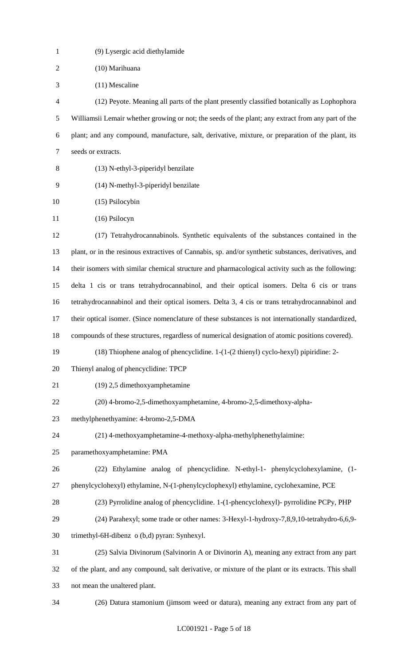| $\mathbf{1}$   | (9) Lysergic acid diethylamide                                                                       |
|----------------|------------------------------------------------------------------------------------------------------|
| $\sqrt{2}$     | (10) Marihuana                                                                                       |
| 3              | $(11)$ Mescaline                                                                                     |
| $\overline{4}$ | (12) Peyote. Meaning all parts of the plant presently classified botanically as Lophophora           |
| 5              | Williamsii Lemair whether growing or not; the seeds of the plant; any extract from any part of the   |
| 6              | plant; and any compound, manufacture, salt, derivative, mixture, or preparation of the plant, its    |
| $\tau$         | seeds or extracts.                                                                                   |
| 8              | (13) N-ethyl-3-piperidyl benzilate                                                                   |
| 9              | (14) N-methyl-3-piperidyl benzilate                                                                  |
| 10             | (15) Psilocybin                                                                                      |
| 11             | $(16)$ Psilocyn                                                                                      |
| 12             | (17) Tetrahydrocannabinols. Synthetic equivalents of the substances contained in the                 |
| 13             | plant, or in the resinous extractives of Cannabis, sp. and/or synthetic substances, derivatives, and |
| 14             | their isomers with similar chemical structure and pharmacological activity such as the following:    |
| 15             | delta 1 cis or trans tetrahydrocannabinol, and their optical isomers. Delta 6 cis or trans           |
| 16             | tetrahydrocannabinol and their optical isomers. Delta 3, 4 cis or trans tetrahydrocannabinol and     |
| 17             | their optical isomer. (Since nomenclature of these substances is not internationally standardized,   |
| 18             | compounds of these structures, regardless of numerical designation of atomic positions covered).     |
| 19             | (18) Thiophene analog of phencyclidine. 1-(1-(2 thienyl) cyclo-hexyl) pipiridine: 2-                 |
| 20             | Thienyl analog of phencyclidine: TPCP                                                                |
| 21             | (19) 2,5 dimethoxyamphetamine                                                                        |
| 22             | (20) 4-bromo-2,5-dimethoxyamphetamine, 4-bromo-2,5-dimethoxy-alpha-                                  |
| 23             | methylphenethyamine: 4-bromo-2,5-DMA                                                                 |
| 24             | (21) 4-methoxyamphetamine-4-methoxy-alpha-methylphenethylaimine:                                     |
| 25             | paramethoxyamphetamine: PMA                                                                          |
| 26             | (22) Ethylamine analog of phencyclidine. N-ethyl-1- phenylcyclohexylamine, (1-                       |
| 27             | phenylcyclohexyl) ethylamine, N-(1-phenylcyclophexyl) ethylamine, cyclohexamine, PCE                 |
| 28             | (23) Pyrrolidine analog of phencyclidine. 1-(1-phencyclohexyl)- pyrrolidine PCPy, PHP                |
| 29             | (24) Parahexyl; some trade or other names: 3-Hexyl-1-hydroxy-7,8,9,10-tetrahydro-6,6,9-              |
| 30             | trimethyl-6H-dibenz o (b,d) pyran: Synhexyl.                                                         |
| 31             | (25) Salvia Divinorum (Salvinorin A or Divinorin A), meaning any extract from any part               |
| 32             | of the plant, and any compound, salt derivative, or mixture of the plant or its extracts. This shall |
| 33             | not mean the unaltered plant.                                                                        |
| 34             | (26) Datura stamonium (jimsom weed or datura), meaning any extract from any part of                  |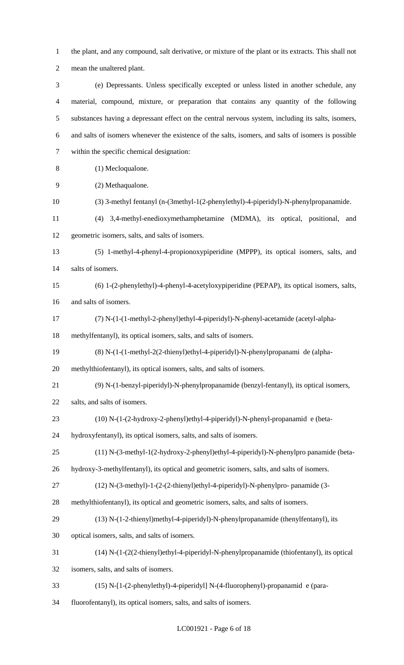the plant, and any compound, salt derivative, or mixture of the plant or its extracts. This shall not mean the unaltered plant.

 (e) Depressants. Unless specifically excepted or unless listed in another schedule, any material, compound, mixture, or preparation that contains any quantity of the following substances having a depressant effect on the central nervous system, including its salts, isomers, and salts of isomers whenever the existence of the salts, isomers, and salts of isomers is possible within the specific chemical designation:

- (1) Mecloqualone.
- (2) Methaqualone.
- (3) 3-methyl fentanyl (n-(3methyl-1(2-phenylethyl)-4-piperidyl)-N-phenylpropanamide.
- (4) 3,4-methyl-enedioxymethamphetamine (MDMA), its optical, positional, and geometric isomers, salts, and salts of isomers.

 (5) 1-methyl-4-phenyl-4-propionoxypiperidine (MPPP), its optical isomers, salts, and salts of isomers.

- (6) 1-(2-phenylethyl)-4-phenyl-4-acetyloxypiperidine (PEPAP), its optical isomers, salts, and salts of isomers.
- (7) N-(1-(1-methyl-2-phenyl)ethyl-4-piperidyl)-N-phenyl-acetamide (acetyl-alpha-

methylfentanyl), its optical isomers, salts, and salts of isomers.

(8) N-(1-(1-methyl-2(2-thienyl)ethyl-4-piperidyl)-N-phenylpropanami de (alpha-

methylthiofentanyl), its optical isomers, salts, and salts of isomers.

- (9) N-(1-benzyl-piperidyl)-N-phenylpropanamide (benzyl-fentanyl), its optical isomers,
- salts, and salts of isomers.
- (10) N-(1-(2-hydroxy-2-phenyl)ethyl-4-piperidyl)-N-phenyl-propanamid e (beta-

hydroxyfentanyl), its optical isomers, salts, and salts of isomers.

(11) N-(3-methyl-1(2-hydroxy-2-phenyl)ethyl-4-piperidyl)-N-phenylpro panamide (beta-

hydroxy-3-methylfentanyl), its optical and geometric isomers, salts, and salts of isomers.

- (12) N-(3-methyl)-1-(2-(2-thienyl)ethyl-4-piperidyl)-N-phenylpro- panamide (3-
- methylthiofentanyl), its optical and geometric isomers, salts, and salts of isomers.
- (13) N-(1-2-thienyl)methyl-4-piperidyl)-N-phenylpropanamide (thenylfentanyl), its

optical isomers, salts, and salts of isomers.

(14) N-(1-(2(2-thienyl)ethyl-4-piperidyl-N-phenylpropanamide (thiofentanyl), its optical

isomers, salts, and salts of isomers.

- (15) N-[1-(2-phenylethyl)-4-piperidyl] N-(4-fluorophenyl)-propanamid e (para-
- fluorofentanyl), its optical isomers, salts, and salts of isomers.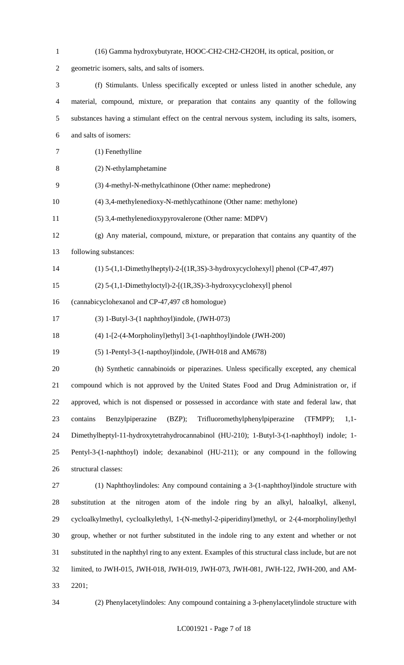| $\mathbf{1}$   | (16) Gamma hydroxybutyrate, HOOC-CH2-CH2-CH2OH, its optical, position, or                              |
|----------------|--------------------------------------------------------------------------------------------------------|
| $\overline{2}$ | geometric isomers, salts, and salts of isomers.                                                        |
| 3              | (f) Stimulants. Unless specifically excepted or unless listed in another schedule, any                 |
| $\overline{4}$ | material, compound, mixture, or preparation that contains any quantity of the following                |
| 5              | substances having a stimulant effect on the central nervous system, including its salts, isomers,      |
| 6              | and salts of isomers:                                                                                  |
| 7              | (1) Fenethylline                                                                                       |
| 8              | (2) N-ethylamphetamine                                                                                 |
| 9              | (3) 4-methyl-N-methylcathinone (Other name: mephedrone)                                                |
| 10             | (4) 3,4-methylenedioxy-N-methlycathinone (Other name: methylone)                                       |
| 11             | (5) 3,4-methylenedioxypyrovalerone (Other name: MDPV)                                                  |
| 12             | $(g)$ Any material, compound, mixture, or preparation that contains any quantity of the                |
| 13             | following substances:                                                                                  |
| 14             | $(1)$ 5- $(1,1$ -Dimethylheptyl)-2- $[(1R,3S)$ -3-hydroxycyclohexyl] phenol (CP-47,497)                |
| 15             | $(2)$ 5- $(1,1$ -Dimethyloctyl)-2- $[(1R,3S)$ -3-hydroxycyclohexyl] phenol                             |
| 16             | (cannabicyclohexanol and CP-47,497 c8 homologue)                                                       |
| 17             | $(3)$ 1-Butyl-3- $(1$ naphthoyl)indole, $(JWH-073)$                                                    |
| 18             | (4) 1-[2-(4-Morpholinyl)ethyl] 3-(1-naphthoyl)indole (JWH-200)                                         |
| 19             | (5) 1-Pentyl-3-(1-napthoyl)indole, (JWH-018 and AM678)                                                 |
| 20             | (h) Synthetic cannabinoids or piperazines. Unless specifically excepted, any chemical                  |
| 21             | compound which is not approved by the United States Food and Drug Administration or, if                |
| 22             | approved, which is not dispensed or possessed in accordance with state and federal law, that           |
| 23             | Benzylpiperazine<br>Trifluoromethylphenylpiperazine<br>(TFMPP);<br>contains<br>(BZP);<br>$1,1-$        |
| 24             | Dimethylheptyl-11-hydroxytetrahydrocannabinol (HU-210); 1-Butyl-3-(1-naphthoyl) indole; 1-             |
| 25             | Pentyl-3-(1-naphthoyl) indole; dexanabinol (HU-211); or any compound in the following                  |
| 26             | structural classes:                                                                                    |
| 27             | (1) Naphthoylindoles: Any compound containing a 3-(1-naphthoyl)indole structure with                   |
| 28             | substitution at the nitrogen atom of the indole ring by an alkyl, haloalkyl, alkenyl,                  |
| 29             | cycloalkylmethyl, cycloalkylethyl, 1-(N-methyl-2-piperidinyl)methyl, or 2-(4-morpholinyl)ethyl         |
| 30             | group, whether or not further substituted in the indole ring to any extent and whether or not          |
| 31             | substituted in the naphthyl ring to any extent. Examples of this structural class include, but are not |
| 32             | limited, to JWH-015, JWH-018, JWH-019, JWH-073, JWH-081, JWH-122, JWH-200, and AM-                     |
| 33             | 2201;                                                                                                  |

(2) Phenylacetylindoles: Any compound containing a 3-phenylacetylindole structure with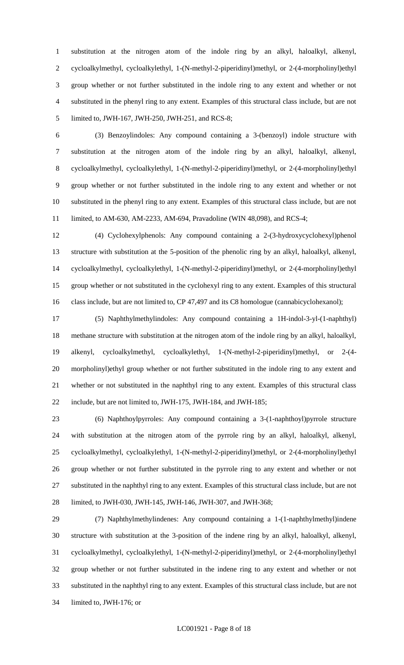substitution at the nitrogen atom of the indole ring by an alkyl, haloalkyl, alkenyl, cycloalkylmethyl, cycloalkylethyl, 1-(N-methyl-2-piperidinyl)methyl, or 2-(4-morpholinyl)ethyl group whether or not further substituted in the indole ring to any extent and whether or not substituted in the phenyl ring to any extent. Examples of this structural class include, but are not limited to, JWH-167, JWH-250, JWH-251, and RCS-8;

 (3) Benzoylindoles: Any compound containing a 3-(benzoyl) indole structure with substitution at the nitrogen atom of the indole ring by an alkyl, haloalkyl, alkenyl, cycloalkylmethyl, cycloalkylethyl, 1-(N-methyl-2-piperidinyl)methyl, or 2-(4-morpholinyl)ethyl group whether or not further substituted in the indole ring to any extent and whether or not substituted in the phenyl ring to any extent. Examples of this structural class include, but are not limited, to AM-630, AM-2233, AM-694, Pravadoline (WIN 48,098), and RCS-4;

 (4) Cyclohexylphenols: Any compound containing a 2-(3-hydroxycyclohexyl)phenol structure with substitution at the 5-position of the phenolic ring by an alkyl, haloalkyl, alkenyl, cycloalkylmethyl, cycloalkylethyl, 1-(N-methyl-2-piperidinyl)methyl, or 2-(4-morpholinyl)ethyl group whether or not substituted in the cyclohexyl ring to any extent. Examples of this structural 16 class include, but are not limited to, CP 47,497 and its C8 homologue (cannabicyclohexanol);

 (5) Naphthylmethylindoles: Any compound containing a 1H-indol-3-yl-(1-naphthyl) methane structure with substitution at the nitrogen atom of the indole ring by an alkyl, haloalkyl, alkenyl, cycloalkylmethyl, cycloalkylethyl, 1-(N-methyl-2-piperidinyl)methyl, or 2-(4- morpholinyl)ethyl group whether or not further substituted in the indole ring to any extent and whether or not substituted in the naphthyl ring to any extent. Examples of this structural class include, but are not limited to, JWH-175, JWH-184, and JWH-185;

 (6) Naphthoylpyrroles: Any compound containing a 3-(1-naphthoyl)pyrrole structure with substitution at the nitrogen atom of the pyrrole ring by an alkyl, haloalkyl, alkenyl, cycloalkylmethyl, cycloalkylethyl, 1-(N-methyl-2-piperidinyl)methyl, or 2-(4-morpholinyl)ethyl group whether or not further substituted in the pyrrole ring to any extent and whether or not substituted in the naphthyl ring to any extent. Examples of this structural class include, but are not limited, to JWH-030, JWH-145, JWH-146, JWH-307, and JWH-368;

 (7) Naphthylmethylindenes: Any compound containing a 1-(1-naphthylmethyl)indene structure with substitution at the 3-position of the indene ring by an alkyl, haloalkyl, alkenyl, cycloalkylmethyl, cycloalkylethyl, 1-(N-methyl-2-piperidinyl)methyl, or 2-(4-morpholinyl)ethyl group whether or not further substituted in the indene ring to any extent and whether or not substituted in the naphthyl ring to any extent. Examples of this structural class include, but are not limited to, JWH-176; or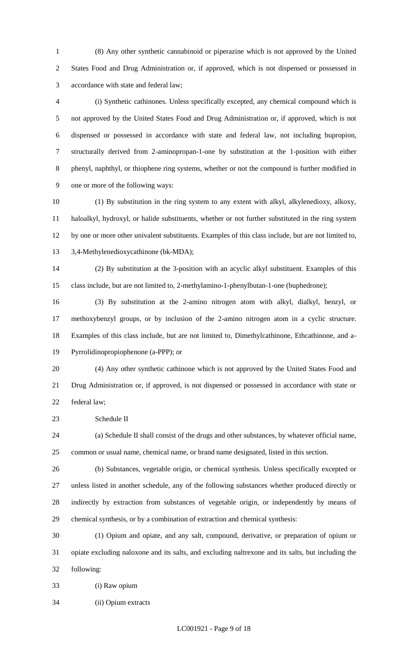(8) Any other synthetic cannabinoid or piperazine which is not approved by the United States Food and Drug Administration or, if approved, which is not dispensed or possessed in accordance with state and federal law;

 (i) Synthetic cathinones. Unless specifically excepted, any chemical compound which is not approved by the United States Food and Drug Administration or, if approved, which is not dispensed or possessed in accordance with state and federal law, not including bupropion, structurally derived from 2-aminopropan-1-one by substitution at the 1-position with either phenyl, naphthyl, or thiophene ring systems, whether or not the compound is further modified in one or more of the following ways:

 (1) By substitution in the ring system to any extent with alkyl, alkylenedioxy, alkoxy, haloalkyl, hydroxyl, or halide substituents, whether or not further substituted in the ring system by one or more other univalent substituents. Examples of this class include, but are not limited to, 3,4-Methylenedioxycathinone (bk-MDA);

 (2) By substitution at the 3-position with an acyclic alkyl substituent. Examples of this class include, but are not limited to, 2-methylamino-1-phenylbutan-1-one (buphedrone);

 (3) By substitution at the 2-amino nitrogen atom with alkyl, dialkyl, benzyl, or methoxybenzyl groups, or by inclusion of the 2-amino nitrogen atom in a cyclic structure. Examples of this class include, but are not limited to, Dimethylcathinone, Ethcathinone, and a-Pyrrolidinopropiophenone (a-PPP); or

 (4) Any other synthetic cathinone which is not approved by the United States Food and Drug Administration or, if approved, is not dispensed or possessed in accordance with state or federal law;

Schedule II

 (a) Schedule II shall consist of the drugs and other substances, by whatever official name, common or usual name, chemical name, or brand name designated, listed in this section.

 (b) Substances, vegetable origin, or chemical synthesis. Unless specifically excepted or unless listed in another schedule, any of the following substances whether produced directly or indirectly by extraction from substances of vegetable origin, or independently by means of chemical synthesis, or by a combination of extraction and chemical synthesis:

 (1) Opium and opiate, and any salt, compound, derivative, or preparation of opium or opiate excluding naloxone and its salts, and excluding naltrexone and its salts, but including the following:

(i) Raw opium

(ii) Opium extracts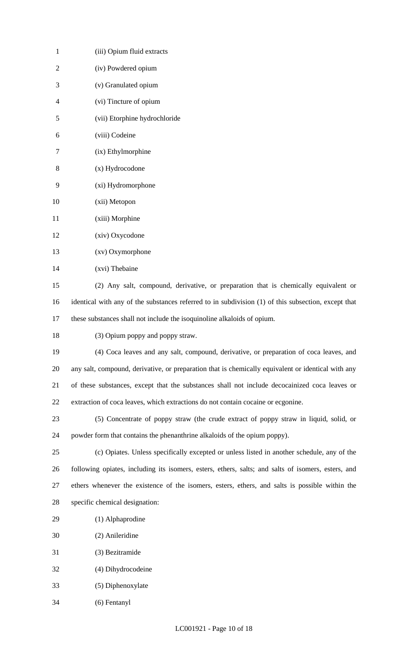| (iii) Opium fluid extracts                                                                          |
|-----------------------------------------------------------------------------------------------------|
| (iv) Powdered opium                                                                                 |
| (v) Granulated opium                                                                                |
| (vi) Tincture of opium                                                                              |
| (vii) Etorphine hydrochloride                                                                       |
| (viii) Codeine                                                                                      |
| (ix) Ethylmorphine                                                                                  |
| (x) Hydrocodone                                                                                     |
| (xi) Hydromorphone                                                                                  |
| (xii) Metopon                                                                                       |
| (xiii) Morphine                                                                                     |
| (xiv) Oxycodone                                                                                     |
| (xv) Oxymorphone                                                                                    |
| (xvi) Thebaine                                                                                      |
| (2) Any salt, compound, derivative, or preparation that is chemically equivalent or                 |
| identical with any of the substances referred to in subdivision (1) of this subsection, except that |
| these substances shall not include the isoquinoline alkaloids of opium.                             |
| (3) Opium poppy and poppy straw.                                                                    |
| (4) Coca leaves and any salt, compound, derivative, or preparation of coca leaves, and              |
| any salt, compound, derivative, or preparation that is chemically equivalent or identical with any  |
| of these substances, except that the substances shall not include decocainized coca leaves or       |
| extraction of coca leaves, which extractions do not contain cocaine or ecgonine.                    |
| (5) Concentrate of poppy straw (the crude extract of poppy straw in liquid, solid, or               |
| powder form that contains the phenanthrine alkaloids of the opium poppy).                           |
| (c) Opiates. Unless specifically excepted or unless listed in another schedule, any of the          |
| following opiates, including its isomers, esters, ethers, salts; and salts of isomers, esters, and  |
| ethers whenever the existence of the isomers, esters, ethers, and salts is possible within the      |
| specific chemical designation:                                                                      |
| (1) Alphaprodine                                                                                    |
| (2) Anileridine                                                                                     |
| (3) Bezitramide                                                                                     |
| (4) Dihydrocodeine                                                                                  |
| (5) Diphenoxylate                                                                                   |
| (6) Fentanyl                                                                                        |
|                                                                                                     |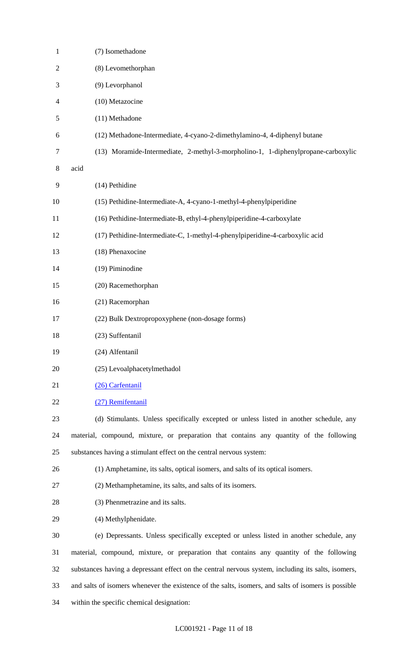| $\mathbf{1}$   | (7) Isomethadone                                                                                    |
|----------------|-----------------------------------------------------------------------------------------------------|
| 2              | (8) Levomethorphan                                                                                  |
| 3              | (9) Levorphanol                                                                                     |
| $\overline{4}$ | (10) Metazocine                                                                                     |
| 5              | (11) Methadone                                                                                      |
| 6              | (12) Methadone-Intermediate, 4-cyano-2-dimethylamino-4, 4-diphenyl butane                           |
| 7              | (13) Moramide-Intermediate, 2-methyl-3-morpholino-1, 1-diphenylpropane-carboxylic                   |
| 8              | acid                                                                                                |
| 9              | (14) Pethidine                                                                                      |
| 10             | (15) Pethidine-Intermediate-A, 4-cyano-1-methyl-4-phenylpiperidine                                  |
| 11             | (16) Pethidine-Intermediate-B, ethyl-4-phenylpiperidine-4-carboxylate                               |
| 12             | (17) Pethidine-Intermediate-C, 1-methyl-4-phenylpiperidine-4-carboxylic acid                        |
| 13             | (18) Phenaxocine                                                                                    |
| 14             | (19) Piminodine                                                                                     |
| 15             | (20) Racemethorphan                                                                                 |
| 16             | (21) Racemorphan                                                                                    |
| 17             | (22) Bulk Dextropropoxyphene (non-dosage forms)                                                     |
| 18             | (23) Suffentanil                                                                                    |
| 19             | (24) Alfentanil                                                                                     |
| 20             | (25) Levoalphacetylmethadol                                                                         |
| 21             | (26) Carfentanil                                                                                    |
| 22             | (27) Remifentanil                                                                                   |
| 23             | (d) Stimulants. Unless specifically excepted or unless listed in another schedule, any              |
| 24             | material, compound, mixture, or preparation that contains any quantity of the following             |
| 25             | substances having a stimulant effect on the central nervous system:                                 |
| 26             | (1) Amphetamine, its salts, optical isomers, and salts of its optical isomers.                      |
| 27             | (2) Methamphetamine, its salts, and salts of its isomers.                                           |
| 28             | (3) Phenmetrazine and its salts.                                                                    |
| 29             | (4) Methylphenidate.                                                                                |
| 30             | (e) Depressants. Unless specifically excepted or unless listed in another schedule, any             |
| 31             | material, compound, mixture, or preparation that contains any quantity of the following             |
| 32             | substances having a depressant effect on the central nervous system, including its salts, isomers,  |
| 33             | and salts of isomers whenever the existence of the salts, isomers, and salts of isomers is possible |
| 34             | within the specific chemical designation:                                                           |
|                |                                                                                                     |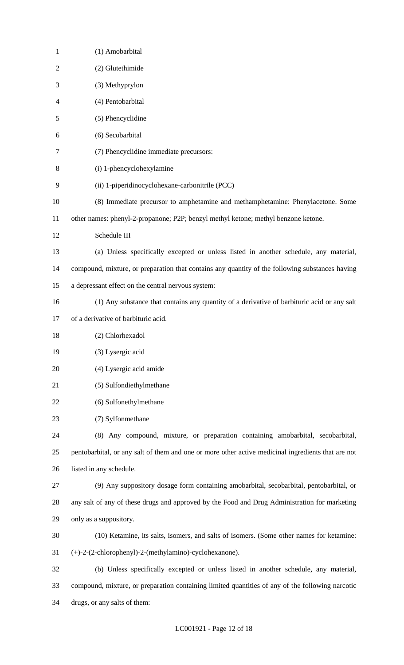| $\mathbf{1}$   | (1) Amobarbital                                                                                    |
|----------------|----------------------------------------------------------------------------------------------------|
| $\overline{2}$ | (2) Glutethimide                                                                                   |
| 3              | (3) Methyprylon                                                                                    |
| 4              | (4) Pentobarbital                                                                                  |
| 5              | (5) Phencyclidine                                                                                  |
| 6              | (6) Secobarbital                                                                                   |
| 7              | (7) Phencyclidine immediate precursors:                                                            |
| 8              | (i) 1-phencyclohexylamine                                                                          |
| 9              | (ii) 1-piperidinocyclohexane-carbonitrile (PCC)                                                    |
| 10             | (8) Immediate precursor to amphetamine and methamphetamine: Phenylacetone. Some                    |
| 11             | other names: phenyl-2-propanone; P2P; benzyl methyl ketone; methyl benzone ketone.                 |
| 12             | Schedule III                                                                                       |
| 13             | (a) Unless specifically excepted or unless listed in another schedule, any material,               |
| 14             | compound, mixture, or preparation that contains any quantity of the following substances having    |
| 15             | a depressant effect on the central nervous system:                                                 |
| 16             | (1) Any substance that contains any quantity of a derivative of barbituric acid or any salt        |
| 17             | of a derivative of barbituric acid.                                                                |
| 18             | (2) Chlorhexadol                                                                                   |
| 19             | (3) Lysergic acid                                                                                  |
| 20             | (4) Lysergic acid amide                                                                            |
| 21             | (5) Sulfondiethylmethane                                                                           |
| 22             | (6) Sulfonethylmethane                                                                             |
| 23             | (7) Sylfonmethane                                                                                  |
| 24             | (8) Any compound, mixture, or preparation containing amobarbital, secobarbital,                    |
| 25             | pentobarbital, or any salt of them and one or more other active medicinal ingredients that are not |
| 26             | listed in any schedule.                                                                            |
| 27             | (9) Any suppository dosage form containing amobarbital, secobarbital, pentobarbital, or            |
| 28             | any salt of any of these drugs and approved by the Food and Drug Administration for marketing      |
| 29             | only as a suppository.                                                                             |
| 30             | (10) Ketamine, its salts, isomers, and salts of isomers. (Some other names for ketamine:           |
| 31             | (+)-2-(2-chlorophenyl)-2-(methylamino)-cyclohexanone).                                             |
| 32             | (b) Unless specifically excepted or unless listed in another schedule, any material,               |
| 33             | compound, mixture, or preparation containing limited quantities of any of the following narcotic   |
| 34             | drugs, or any salts of them:                                                                       |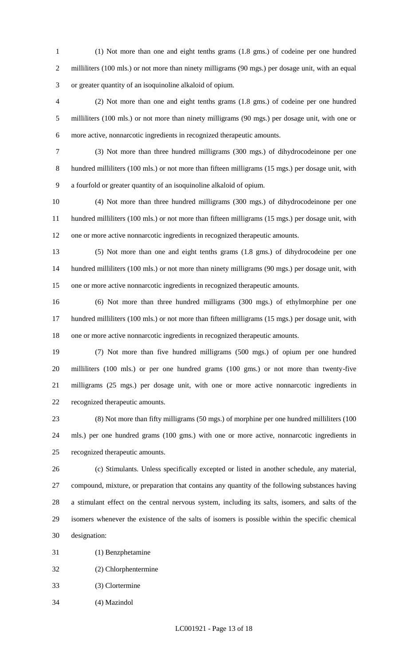(1) Not more than one and eight tenths grams (1.8 gms.) of codeine per one hundred 2 milliliters (100 mls.) or not more than ninety milligrams (90 mgs.) per dosage unit, with an equal or greater quantity of an isoquinoline alkaloid of opium.

 (2) Not more than one and eight tenths grams (1.8 gms.) of codeine per one hundred milliliters (100 mls.) or not more than ninety milligrams (90 mgs.) per dosage unit, with one or more active, nonnarcotic ingredients in recognized therapeutic amounts.

 (3) Not more than three hundred milligrams (300 mgs.) of dihydrocodeinone per one hundred milliliters (100 mls.) or not more than fifteen milligrams (15 mgs.) per dosage unit, with a fourfold or greater quantity of an isoquinoline alkaloid of opium.

 (4) Not more than three hundred milligrams (300 mgs.) of dihydrocodeinone per one hundred milliliters (100 mls.) or not more than fifteen milligrams (15 mgs.) per dosage unit, with one or more active nonnarcotic ingredients in recognized therapeutic amounts.

 (5) Not more than one and eight tenths grams (1.8 gms.) of dihydrocodeine per one hundred milliliters (100 mls.) or not more than ninety milligrams (90 mgs.) per dosage unit, with one or more active nonnarcotic ingredients in recognized therapeutic amounts.

 (6) Not more than three hundred milligrams (300 mgs.) of ethylmorphine per one hundred milliliters (100 mls.) or not more than fifteen milligrams (15 mgs.) per dosage unit, with one or more active nonnarcotic ingredients in recognized therapeutic amounts.

 (7) Not more than five hundred milligrams (500 mgs.) of opium per one hundred milliliters (100 mls.) or per one hundred grams (100 gms.) or not more than twenty-five milligrams (25 mgs.) per dosage unit, with one or more active nonnarcotic ingredients in recognized therapeutic amounts.

 (8) Not more than fifty milligrams (50 mgs.) of morphine per one hundred milliliters (100 mls.) per one hundred grams (100 gms.) with one or more active, nonnarcotic ingredients in recognized therapeutic amounts.

 (c) Stimulants. Unless specifically excepted or listed in another schedule, any material, compound, mixture, or preparation that contains any quantity of the following substances having a stimulant effect on the central nervous system, including its salts, isomers, and salts of the isomers whenever the existence of the salts of isomers is possible within the specific chemical designation:

(1) Benzphetamine

(2) Chlorphentermine

(3) Clortermine

(4) Mazindol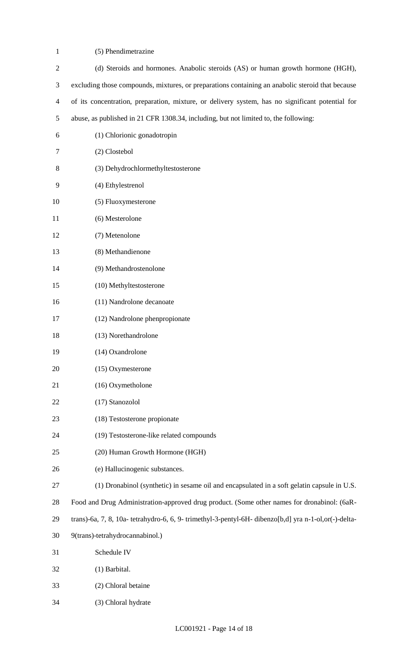(5) Phendimetrazine

| $\overline{2}$ | (d) Steroids and hormones. Anabolic steroids (AS) or human growth hormone (HGH),                      |
|----------------|-------------------------------------------------------------------------------------------------------|
| 3              | excluding those compounds, mixtures, or preparations containing an anabolic steroid that because      |
| $\overline{4}$ | of its concentration, preparation, mixture, or delivery system, has no significant potential for      |
| 5              | abuse, as published in 21 CFR 1308.34, including, but not limited to, the following:                  |
| 6              | (1) Chlorionic gonadotropin                                                                           |
| 7              | (2) Clostebol                                                                                         |
| 8              | (3) Dehydrochlormethyltestosterone                                                                    |
| 9              | (4) Ethylestrenol                                                                                     |
| 10             | (5) Fluoxymesterone                                                                                   |
| 11             | (6) Mesterolone                                                                                       |
| 12             | (7) Metenolone                                                                                        |
| 13             | (8) Methandienone                                                                                     |
| 14             | (9) Methandrostenolone                                                                                |
| 15             | (10) Methyltestosterone                                                                               |
| 16             | (11) Nandrolone decanoate                                                                             |
| 17             | (12) Nandrolone phenpropionate                                                                        |
| 18             | (13) Norethandrolone                                                                                  |
| 19             | (14) Oxandrolone                                                                                      |
| 20             | (15) Oxymesterone                                                                                     |
| 21             | (16) Oxymetholone                                                                                     |
| 22             | (17) Stanozolol                                                                                       |
| 23             | (18) Testosterone propionate                                                                          |
| 24             | (19) Testosterone-like related compounds                                                              |
| 25             | (20) Human Growth Hormone (HGH)                                                                       |
| 26             | (e) Hallucinogenic substances.                                                                        |
| 27             | (1) Dronabinol (synthetic) in sesame oil and encapsulated in a soft gelatin capsule in U.S.           |
| 28             | Food and Drug Administration-approved drug product. (Some other names for dronabinol: (6aR-           |
| 29             | trans)-6a, 7, 8, 10a- tetrahydro-6, 6, 9- trimethyl-3-pentyl-6H- dibenzo[b,d] yra n-1-ol,or(-)-delta- |
| 30             | 9(trans)-tetrahydrocannabinol.)                                                                       |
| 31             | Schedule IV                                                                                           |
| 32             | (1) Barbital.                                                                                         |
| 33             | (2) Chloral betaine                                                                                   |
| 34             | (3) Chloral hydrate                                                                                   |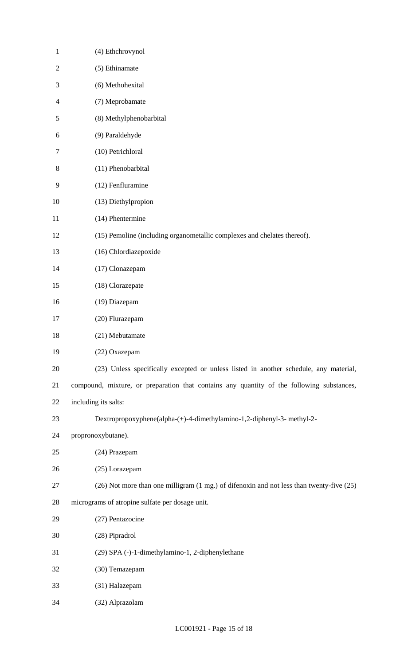| $\mathbf{1}$   | (4) Ethchrovynol                                                                          |
|----------------|-------------------------------------------------------------------------------------------|
| $\mathfrak{2}$ | (5) Ethinamate                                                                            |
| 3              | (6) Methohexital                                                                          |
| $\overline{4}$ | (7) Meprobamate                                                                           |
| 5              | (8) Methylphenobarbital                                                                   |
| 6              | (9) Paraldehyde                                                                           |
| $\tau$         | (10) Petrichloral                                                                         |
| 8              | (11) Phenobarbital                                                                        |
| 9              | (12) Fenfluramine                                                                         |
| 10             | (13) Diethylpropion                                                                       |
| 11             | (14) Phentermine                                                                          |
| 12             | (15) Pemoline (including organometallic complexes and chelates thereof).                  |
| 13             | (16) Chlordiazepoxide                                                                     |
| 14             | (17) Clonazepam                                                                           |
| 15             | (18) Clorazepate                                                                          |
| 16             | (19) Diazepam                                                                             |
| 17             | (20) Flurazepam                                                                           |
| 18             | (21) Mebutamate                                                                           |
| 19             | (22) Oxazepam                                                                             |
| 20             | (23) Unless specifically excepted or unless listed in another schedule, any material,     |
| 21             | compound, mixture, or preparation that contains any quantity of the following substances, |
| 22             | including its salts:                                                                      |
| 23             | Dextropropoxyphene(alpha-(+)-4-dimethylamino-1,2-diphenyl-3- methyl-2-                    |
| 24             | propronoxybutane).                                                                        |
| 25             | (24) Prazepam                                                                             |
| 26             | (25) Lorazepam                                                                            |
| 27             | (26) Not more than one milligram (1 mg.) of difenoxin and not less than twenty-five (25)  |
| 28             | micrograms of atropine sulfate per dosage unit.                                           |
| 29             | (27) Pentazocine                                                                          |
| 30             | (28) Pipradrol                                                                            |
| 31             | (29) SPA (-)-1-dimethylamino-1, 2-diphenylethane                                          |
| 32             | (30) Temazepam                                                                            |
| 33             | (31) Halazepam                                                                            |
| 34             | (32) Alprazolam                                                                           |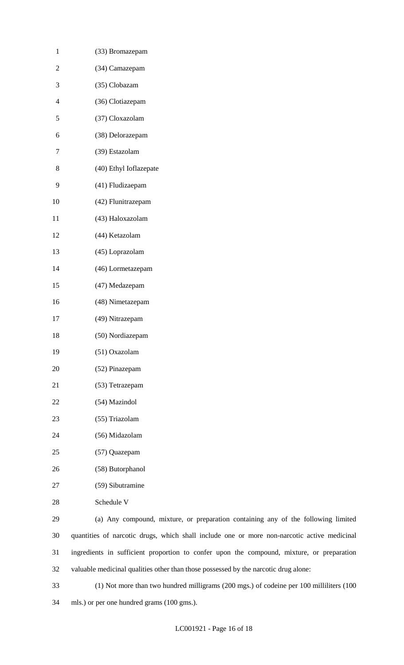| $\mathbf{1}$   | (33) Bromazepam                                                                             |
|----------------|---------------------------------------------------------------------------------------------|
| $\overline{2}$ | (34) Camazepam                                                                              |
| 3              | (35) Clobazam                                                                               |
| $\overline{4}$ | (36) Clotiazepam                                                                            |
| 5              | (37) Cloxazolam                                                                             |
| 6              | (38) Delorazepam                                                                            |
| 7              | (39) Estazolam                                                                              |
| $8\,$          | (40) Ethyl Ioflazepate                                                                      |
| 9              | (41) Fludizaepam                                                                            |
| 10             | (42) Flunitrazepam                                                                          |
| 11             | (43) Haloxazolam                                                                            |
| 12             | (44) Ketazolam                                                                              |
| 13             | (45) Loprazolam                                                                             |
| 14             | (46) Lormetazepam                                                                           |
| 15             | (47) Medazepam                                                                              |
| 16             | (48) Nimetazepam                                                                            |
| 17             | (49) Nitrazepam                                                                             |
| 18             | (50) Nordiazepam                                                                            |
| 19             | (51) Oxazolam                                                                               |
| 20             | (52) Pinazepam                                                                              |
| 21             | (53) Tetrazepam                                                                             |
| 22             | (54) Mazindol                                                                               |
| 23             | (55) Triazolam                                                                              |
| 24             | (56) Midazolam                                                                              |
| 25             | (57) Quazepam                                                                               |
| 26             | (58) Butorphanol                                                                            |
| 27             | (59) Sibutramine                                                                            |
| 28             | Schedule V                                                                                  |
| 29             | (a) Any compound, mixture, or preparation containing any of the following limited           |
| 30             | quantities of narcotic drugs, which shall include one or more non-narcotic active medicinal |
| 31             | ingredients in sufficient proportion to confer upon the compound, mixture, or preparation   |
| 32             | valuable medicinal qualities other than those possessed by the narcotic drug alone:         |

 (1) Not more than two hundred milligrams (200 mgs.) of codeine per 100 milliliters (100 mls.) or per one hundred grams (100 gms.).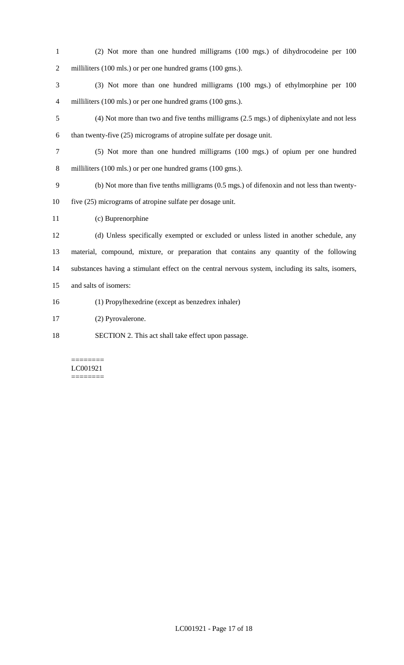- (2) Not more than one hundred milligrams (100 mgs.) of dihydrocodeine per 100 2 milliliters (100 mls.) or per one hundred grams (100 gms.).
- (3) Not more than one hundred milligrams (100 mgs.) of ethylmorphine per 100 4 milliliters (100 mls.) or per one hundred grams (100 gms.).
- (4) Not more than two and five tenths milligrams (2.5 mgs.) of diphenixylate and not less than twenty-five (25) micrograms of atropine sulfate per dosage unit.
- (5) Not more than one hundred milligrams (100 mgs.) of opium per one hundred 8 milliliters (100 mls.) or per one hundred grams (100 gms.).
- (b) Not more than five tenths milligrams (0.5 mgs.) of difenoxin and not less than twenty-five (25) micrograms of atropine sulfate per dosage unit.
- (c) Buprenorphine
- (d) Unless specifically exempted or excluded or unless listed in another schedule, any material, compound, mixture, or preparation that contains any quantity of the following substances having a stimulant effect on the central nervous system, including its salts, isomers, and salts of isomers:
- (1) Propylhexedrine (except as benzedrex inhaler)
- (2) Pyrovalerone.
- SECTION 2. This act shall take effect upon passage.

#### ======== LC001921 ========